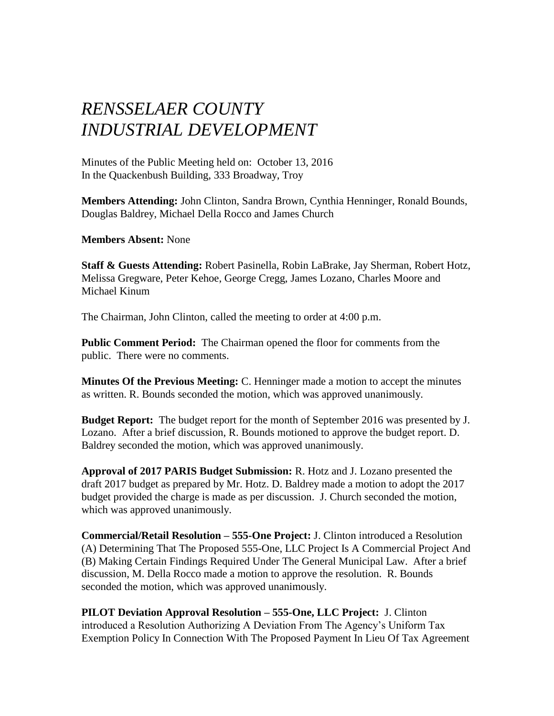## *RENSSELAER COUNTY INDUSTRIAL DEVELOPMENT*

Minutes of the Public Meeting held on: October 13, 2016 In the Quackenbush Building, 333 Broadway, Troy

**Members Attending:** John Clinton, Sandra Brown, Cynthia Henninger, Ronald Bounds, Douglas Baldrey, Michael Della Rocco and James Church

**Members Absent:** None

**Staff & Guests Attending:** Robert Pasinella, Robin LaBrake, Jay Sherman, Robert Hotz, Melissa Gregware, Peter Kehoe, George Cregg, James Lozano, Charles Moore and Michael Kinum

The Chairman, John Clinton, called the meeting to order at 4:00 p.m.

**Public Comment Period:** The Chairman opened the floor for comments from the public. There were no comments.

**Minutes Of the Previous Meeting:** C. Henninger made a motion to accept the minutes as written. R. Bounds seconded the motion, which was approved unanimously.

**Budget Report:** The budget report for the month of September 2016 was presented by J. Lozano. After a brief discussion, R. Bounds motioned to approve the budget report. D. Baldrey seconded the motion, which was approved unanimously.

**Approval of 2017 PARIS Budget Submission:** R. Hotz and J. Lozano presented the draft 2017 budget as prepared by Mr. Hotz. D. Baldrey made a motion to adopt the 2017 budget provided the charge is made as per discussion. J. Church seconded the motion, which was approved unanimously.

**Commercial/Retail Resolution – 555-One Project:** J. Clinton introduced a Resolution (A) Determining That The Proposed 555-One, LLC Project Is A Commercial Project And (B) Making Certain Findings Required Under The General Municipal Law. After a brief discussion, M. Della Rocco made a motion to approve the resolution. R. Bounds seconded the motion, which was approved unanimously.

**PILOT Deviation Approval Resolution – 555-One, LLC Project:** J. Clinton introduced a Resolution Authorizing A Deviation From The Agency's Uniform Tax Exemption Policy In Connection With The Proposed Payment In Lieu Of Tax Agreement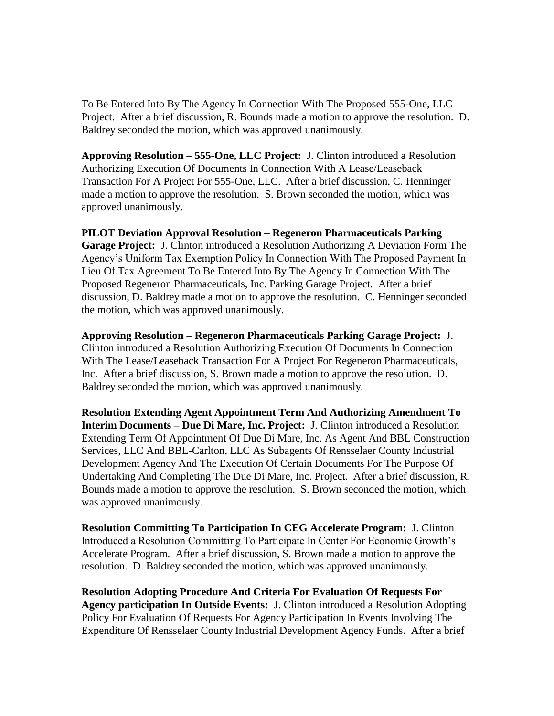To Be Entered Into By The Agency In Connection With The Proposed 555-One, LLC Project. After a brief discussion, R. Bounds made a motion to approve the resolution. D. Baldrey seconded the motion, which was approved unanimously.

**Approving Resolution – 555-One, LLC Project:** J. Clinton introduced a Resolution Authorizing Execution Of Documents In Connection With A Lease/Leaseback Transaction For A Project For 555-One, LLC. After a brief discussion, C. Henninger made a motion to approve the resolution. S. Brown seconded the motion, which was approved unanimously.

**PILOT Deviation Approval Resolution – Regeneron Pharmaceuticals Parking Garage Project:** J. Clinton introduced a Resolution Authorizing A Deviation Form The Agency's Uniform Tax Exemption Policy In Connection With The Proposed Payment In Lieu Of Tax Agreement To Be Entered Into By The Agency In Connection With The Proposed Regeneron Pharmaceuticals, Inc. Parking Garage Project. After a brief discussion, D. Baldrey made a motion to approve the resolution. C. Henninger seconded the motion, which was approved unanimously.

**Approving Resolution – Regeneron Pharmaceuticals Parking Garage Project:** J. Clinton introduced a Resolution Authorizing Execution Of Documents In Connection With The Lease/Leaseback Transaction For A Project For Regeneron Pharmaceuticals, Inc. After a brief discussion, S. Brown made a motion to approve the resolution. D. Baldrey seconded the motion, which was approved unanimously.

**Resolution Extending Agent Appointment Term And Authorizing Amendment To Interim Documents – Due Di Mare, Inc. Project:** J. Clinton introduced a Resolution Extending Term Of Appointment Of Due Di Mare, Inc. As Agent And BBL Construction Services, LLC And BBL-Carlton, LLC As Subagents Of Rensselaer County Industrial Development Agency And The Execution Of Certain Documents For The Purpose Of Undertaking And Completing The Due Di Mare, Inc. Project. After a brief discussion, R. Bounds made a motion to approve the resolution. S. Brown seconded the motion, which was approved unanimously.

**Resolution Committing To Participation In CEG Accelerate Program:** J. Clinton Introduced a Resolution Committing To Participate In Center For Economic Growth's Accelerate Program. After a brief discussion, S. Brown made a motion to approve the resolution. D. Baldrey seconded the motion, which was approved unanimously.

**Resolution Adopting Procedure And Criteria For Evaluation Of Requests For Agency participation In Outside Events:** J. Clinton introduced a Resolution Adopting Policy For Evaluation Of Requests For Agency Participation In Events Involving The Expenditure Of Rensselaer County Industrial Development Agency Funds. After a brief